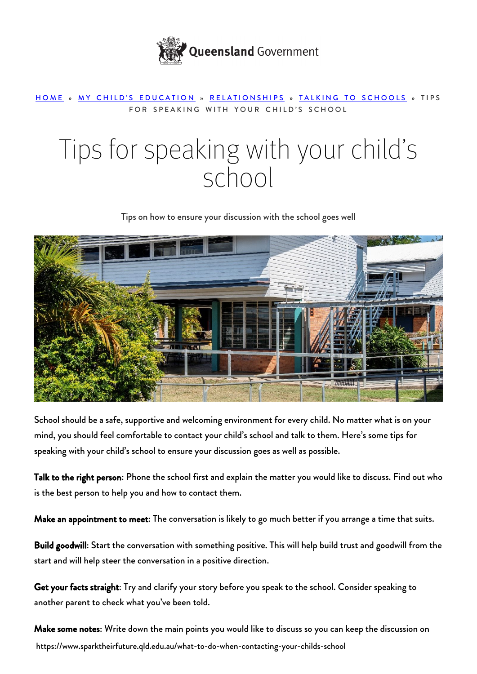

## [HOME](https://www.sparktheirfuture.qld.edu.au/) » [MY CHILD'S EDUCATION](https://www.sparktheirfuture.qld.edu.au/category/my-childs-school/) » [RELATIONSHIPS](https://www.sparktheirfuture.qld.edu.au/category/my-childs-school/relationships/) » [TALKING TO SCHOOLS](https://www.sparktheirfuture.qld.edu.au/category/my-childs-school/relationships/talking-to-schools/) » TIPS FOR SPEAKING WITH YOUR CHILD'S SCHOOL

## Tips for speaking with your child's school

Tips on how to ensure your discussion with the school goes well



School should be a safe, supportive and welcoming environment for every child. No matter what is on your mind, you should feel comfortable to [contact your child's school](https://www.sparktheirfuture.qld.edu.au/how-do-i-talk-to-the-school/) and talk to them. Here's some tips for speaking with your child's school to ensure your discussion goes as well as possible.

Talk to the right person: Phone the school first and explain the matter you would like to discuss. Find out who is the best person to help you and how to contact them.

Make an appointment to meet: The conversation is likely to go much better if you arrange a time that suits.

Build goodwill: Start the conversation with something positive. This will help build trust and goodwill from the start and will help steer the conversation in a positive direction.

Get your facts straight: Try and clarify your story before you speak to the school. Consider speaking to another parent to check what you've been told.

https://www.sparktheirfuture.qld.edu.au/what-to-do-when-contacting-your-childs-school Make some notes: Write down the main points you would like to discuss so you can keep the discussion on